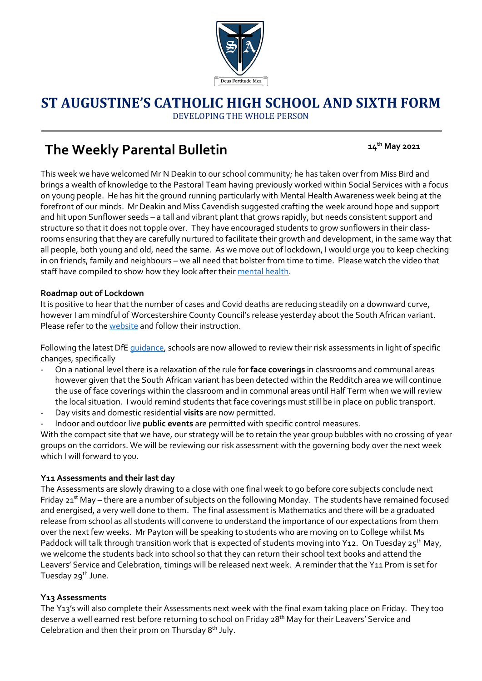

## **ST AUGUSTINE'S CATHOLIC HIGH SCHOOL AND SIXTH FORM** DEVELOPING THE WHOLE PERSON

# **The Weekly Parental Bulletin**

 **14th May 2021**

This week we have welcomed Mr N Deakin to our school community; he has taken over from Miss Bird and brings a wealth of knowledge to the Pastoral Team having previously worked within Social Services with a focus on young people. He has hit the ground running particularly with Mental Health Awareness week being at the forefront of our minds. Mr Deakin and Miss Cavendish suggested crafting the week around hope and support and hit upon Sunflower seeds – a tall and vibrant plant that grows rapidly, but needs consistent support and structure so that it does not topple over. They have encouraged students to grow sunflowers in their classrooms ensuring that they are carefully nurtured to facilitate their growth and development, in the same way that all people, both young and old, need the same. As we move out of lockdown, I would urge you to keep checking in on friends, family and neighbours – we all need that bolster from time to time. Please watch the video that staff have compiled to show how they look after thei[r mental health.](https://youtu.be/LIEUWmLQb9M)

### **Roadmap out of Lockdown**

It is positive to hear that the number of cases and Covid deaths are reducing steadily on a downward curve, however I am mindful of Worcestershire County Council's release yesterday about the South African variant. Please refer to th[e website](https://www.worcestershire.gov.uk/COVID19variant) and follow their instruction.

Following the latest DfE [guidance,](https://assets.publishing.service.gov.uk/government/uploads/system/uploads/attachment_data/file/985138/10_May_Schools_Guidance.pdf?utm_source=13%20May%202021%20C19&utm_medium=Daily%20Email%20C19&utm_campaign=DfE%20C19) schools are now allowed to review their risk assessments in light of specific changes, specifically

- On a national level there is a relaxation of the rule for **face coverings** in classrooms and communal areas however given that the South African variant has been detected within the Redditch area we will continue the use of face coverings within the classroom and in communal areas until Half Term when we will review the local situation. I would remind students that face coverings must still be in place on public transport.
- Day visits and domestic residential **visits** are now permitted.
- Indoor and outdoor live **public events** are permitted with specific control measures.

With the compact site that we have, our strategy will be to retain the year group bubbles with no crossing of year groups on the corridors. We will be reviewing our risk assessment with the governing body over the next week which I will forward to you.

### **Y11 Assessments and their last day**

The Assessments are slowly drawing to a close with one final week to go before core subjects conclude next Friday 21<sup>st</sup> May – there are a number of subjects on the following Monday. The students have remained focused and energised, a very well done to them. The final assessment is Mathematics and there will be a graduated release from school as all students will convene to understand the importance of our expectations from them over the next few weeks. Mr Payton will be speaking to students who are moving on to College whilst Ms Paddock will talk through transition work that is expected of students moving into Y12. On Tuesday  $25^{th}$  May, we welcome the students back into school so that they can return their school text books and attend the Leavers' Service and Celebration, timings will be released next week. A reminder that the Y11 Prom is set for Tuesday 29<sup>th</sup> June.

### **Y13 Assessments**

The Y13's will also complete their Assessments next week with the final exam taking place on Friday. They too deserve a well earned rest before returning to school on Friday 28<sup>th</sup> May for their Leavers' Service and Celebration and then their prom on Thursday 8th July.